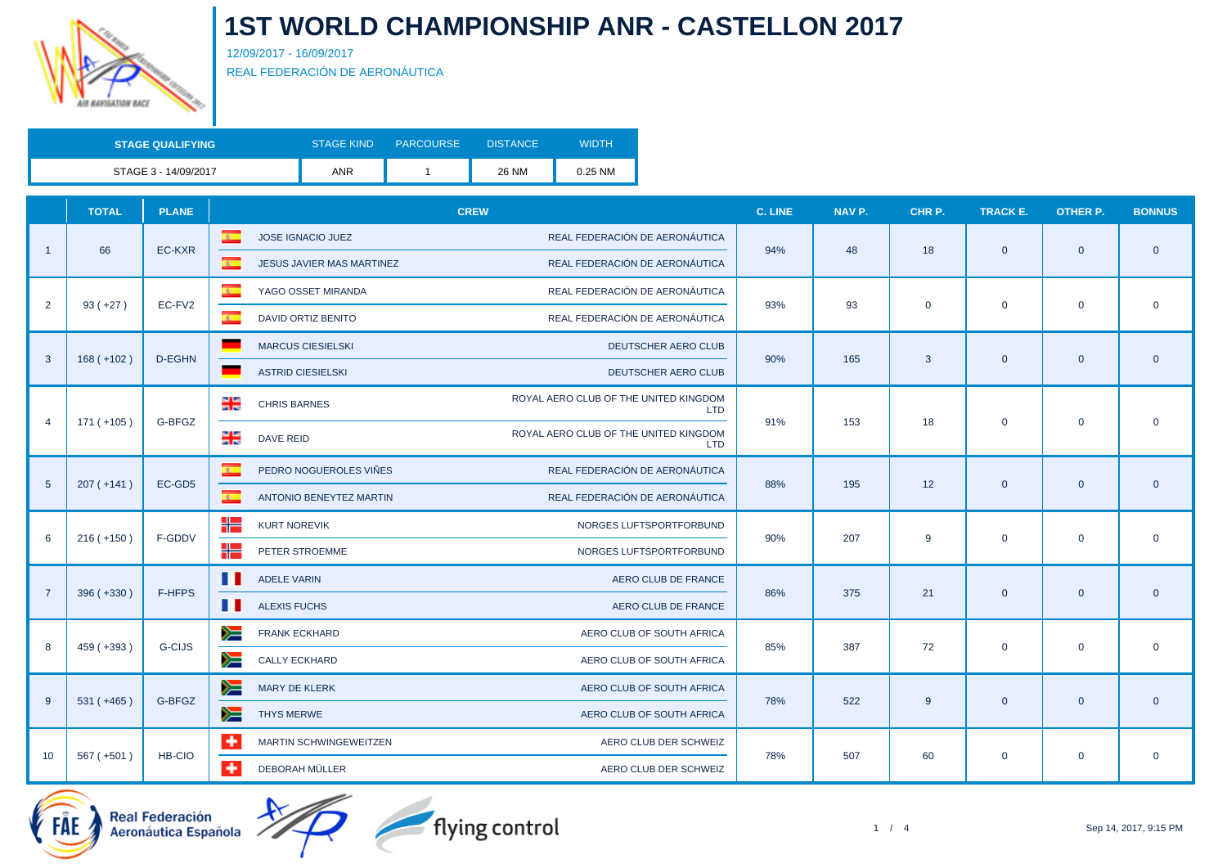

12/09/2017 - 16/09/2017 REAL FEDERACIÓN DE AERONÁUTICA

| <b>STAGE QUALIFYING</b> | <b>STAGE KIND</b> | <b>PARCOURSE</b> | <b>DISTANCE</b> | <b>WIDTH</b> |
|-------------------------|-------------------|------------------|-----------------|--------------|
| STAGE 3 - 14/09/2017    | <b>ANR</b>        |                  | 26 NM           | 0.25 NM      |

|                 | <b>TOTAL</b> | <b>PLANE</b>  | <b>CREW</b>                                                                         | C. LINE                           | NAV P. | CHR P.         | TRACK E.    | <b>OTHER P.</b>                                                                                                                                                                                                                                                                                 | <b>BONNUS</b> |  |
|-----------------|--------------|---------------|-------------------------------------------------------------------------------------|-----------------------------------|--------|----------------|-------------|-------------------------------------------------------------------------------------------------------------------------------------------------------------------------------------------------------------------------------------------------------------------------------------------------|---------------|--|
|                 |              |               | $\mathbf{c}$<br>REAL FEDERACIÓN DE AERONÁUTICA<br>JOSE IGNACIO JUEZ                 |                                   |        |                |             |                                                                                                                                                                                                                                                                                                 |               |  |
|                 | 66           | EC-KXR        | $\overline{z}$<br>REAL FEDERACIÓN DE AERONÁUTICA<br>JESUS JAVIER MAS MARTINEZ       | 94%                               | 48     | 18             |             |                                                                                                                                                                                                                                                                                                 |               |  |
|                 |              |               | $\overline{\mathbf{c}}$<br>REAL FEDERACIÓN DE AERONÁUTICA<br>YAGO OSSET MIRANDA     |                                   |        |                |             | $\overline{0}$<br>$\mathbf 0$<br>$\overline{0}$<br>$\mathbf 0$<br>$\overline{0}$<br>$\mathbf 0$<br>$\overline{0}$<br>$\mathbf 0$<br>$\mathbf{0}$                                                                                                                                                |               |  |
| 2               | $93 (+27)$   | EC-FV2        | $\overline{z}$<br>REAL FEDERACIÓN DE AERONÁUTICA<br><b>DAVID ORTIZ BENITO</b>       | 93%                               | 93     | $\overline{0}$ |             |                                                                                                                                                                                                                                                                                                 |               |  |
|                 |              |               | <b>MARCUS CIESIELSKI</b>                                                            | DEUTSCHER AERO CLUB               |        |                |             |                                                                                                                                                                                                                                                                                                 |               |  |
| 3               | $168 (+102)$ | D-EGHN        | ٠<br><b>ASTRID CIESIELSKI</b>                                                       | 90%<br><b>DEUTSCHER AERO CLUB</b> | 165    | 3              |             |                                                                                                                                                                                                                                                                                                 |               |  |
|                 |              |               | ROYAL AERO CLUB OF THE UNITED KINGDOM<br>믦<br><b>CHRIS BARNES</b>                   | <b>LTD</b>                        | 153    |                |             | $\mathbf{0}$<br>$\overline{0}$<br>$\mathbf{0}$<br>$\mathbf 0$<br>$\mathbf{0}$<br>$\overline{0}$<br>$\mathbf 0$<br>$\mathbf 0$<br>$\mathbf{0}$<br>$\overline{0}$<br>$\mathbf 0$<br>$\mathbf 0$<br>$\mathbf{0}$<br>$\overline{0}$<br>$\mathbf 0$<br>$\mathbf 0$<br>$\mathbf{0}$<br>$\overline{0}$ |               |  |
| $\overline{4}$  | $171 (+105)$ | G-BFGZ        | ROYAL AERO CLUB OF THE UNITED KINGDOM<br>∺<br><b>DAVE REID</b>                      | 91%<br><b>LTD</b>                 |        | 18             |             |                                                                                                                                                                                                                                                                                                 |               |  |
|                 |              |               | $\overline{\mathbf{c}}$<br>PEDRO NOGUEROLES VIÑES<br>REAL FEDERACIÓN DE AERONÁUTICA |                                   | 195    |                |             |                                                                                                                                                                                                                                                                                                 |               |  |
| $5\phantom{1}$  | $207 (+141)$ | EC-GD5        | $\mathbf{R}$ .<br>REAL FEDERACIÓN DE AERONÁUTICA<br>ANTONIO BENEYTEZ MARTIN         | 88%                               |        | 12             |             |                                                                                                                                                                                                                                                                                                 |               |  |
|                 |              | F-GDDV        | ۲E<br><b>KURT NOREVIK</b><br>NORGES LUFTSPORTFORBUND                                |                                   |        |                |             |                                                                                                                                                                                                                                                                                                 |               |  |
| 6               | $216 (+150)$ |               | ۲E<br>PETER STROEMME<br>NORGES LUFTSPORTFORBUND                                     | 90%                               | 207    | 9              |             |                                                                                                                                                                                                                                                                                                 |               |  |
| $\overline{7}$  |              | F-HFPS        | . .<br><b>ADELE VARIN</b>                                                           | AERO CLUB DE FRANCE<br>86%        | 375    |                |             |                                                                                                                                                                                                                                                                                                 |               |  |
|                 | $396 (+330)$ |               | . .<br><b>ALEXIS FUCHS</b>                                                          | AERO CLUB DE FRANCE               |        | 21             |             |                                                                                                                                                                                                                                                                                                 |               |  |
| 8               | $459 (+393)$ | <b>G-CIJS</b> | ➣<br>FRANK ECKHARD<br>AERO CLUB OF SOUTH AFRICA                                     | 85%                               | 387    | 72             |             |                                                                                                                                                                                                                                                                                                 |               |  |
|                 |              |               | ➣<br><b>CALLY ECKHARD</b><br>AERO CLUB OF SOUTH AFRICA                              |                                   |        |                |             |                                                                                                                                                                                                                                                                                                 |               |  |
|                 |              |               | ➣<br>MARY DE KLERK<br>AERO CLUB OF SOUTH AFRICA                                     |                                   |        |                |             |                                                                                                                                                                                                                                                                                                 |               |  |
| 9               | $531 (+465)$ | G-BFGZ        | ➣<br><b>THYS MERWE</b><br>AERO CLUB OF SOUTH AFRICA                                 | 78%                               | 522    | 9              |             |                                                                                                                                                                                                                                                                                                 |               |  |
|                 |              |               | $\ddot{}$<br>MARTIN SCHWINGEWEITZEN                                                 | AERO CLUB DER SCHWEIZ             |        |                |             |                                                                                                                                                                                                                                                                                                 |               |  |
| 10 <sup>°</sup> | $567 (+501)$ | HB-CIO        | $\ddot{}$<br>DEBORAH MÜLLER                                                         | 78%<br>AERO CLUB DER SCHWEIZ      | 507    | 60             | $\mathbf 0$ | $\mathbf 0$                                                                                                                                                                                                                                                                                     | $\mathbf 0$   |  |

اسر<br>/- Real Federación<br>/- Aeronáutica Española



flying control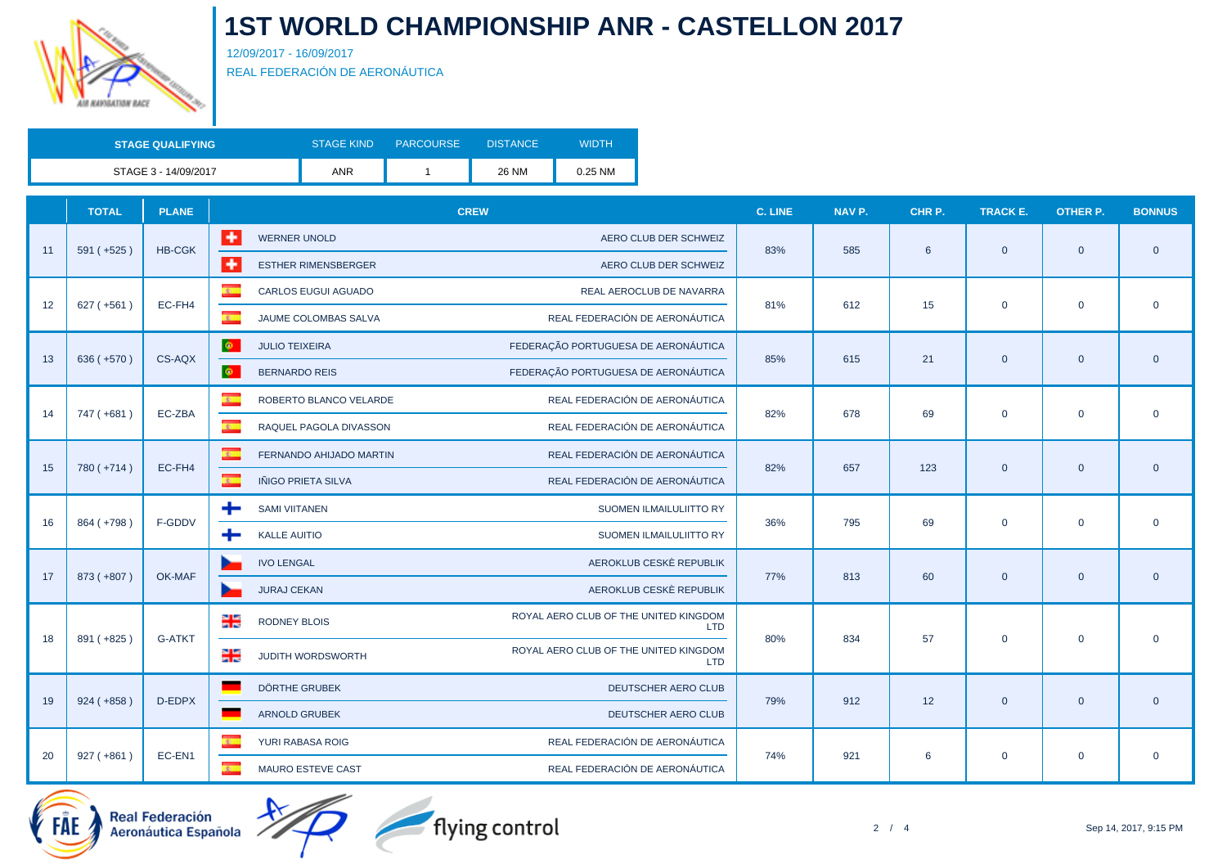

12/09/2017 - 16/09/2017 REAL FEDERACIÓN DE AERONÁUTICA

| <b>STAGE QUALIFYING</b> | <b>STAGE KIND</b> | <b>PARCOURSE</b> | <b>DISTANCE</b> | WIDTH   |
|-------------------------|-------------------|------------------|-----------------|---------|
| STAGE 3 - 14/09/2017    | <b>ANR</b>        |                  | 26 NM           | 0.25 NM |

|    | <b>TOTAL</b> | <b>PLANE</b>  | <b>CREW</b>                                                                          | C. LINE    | NAV P. | CHR P. | <b>TRACK E.</b> | <b>OTHER P.</b>                                                                                                                                             | <b>BONNUS</b>  |
|----|--------------|---------------|--------------------------------------------------------------------------------------|------------|--------|--------|-----------------|-------------------------------------------------------------------------------------------------------------------------------------------------------------|----------------|
|    |              | <b>HB-CGK</b> | l ÷<br><b>WERNER UNOLD</b><br>AERO CLUB DER SCHWEIZ                                  |            | 585    |        |                 |                                                                                                                                                             |                |
| 11 | $591 (+525)$ |               | l +<br><b>ESTHER RIMENSBERGER</b><br>AERO CLUB DER SCHWEIZ                           | 83%        |        | 6      | $\mathbf{0}$    | $\mathbf{0}$<br>$\mathbf 0$<br>$\overline{0}$<br>$\mathbf 0$<br>$\mathbf{0}$<br>$\mathbf 0$<br>$\mathbf{0}$<br>$\mathbf 0$<br>$\overline{0}$<br>$\mathbf 0$ | $\overline{0}$ |
|    |              | EC-FH4        | $\overline{\mathbf{r}}$<br>CARLOS EUGUI AGUADO<br>REAL AEROCLUB DE NAVARRA           |            |        |        |                 |                                                                                                                                                             |                |
| 12 | $627 (+561)$ |               | $\overline{\mathbf{c}}$<br>REAL FEDERACIÓN DE AERONÁUTICA<br>JAUME COLOMBAS SALVA    | 81%        | 612    | 15     | $\mathbf 0$     |                                                                                                                                                             | $\mathbf 0$    |
|    |              |               | $\ddot{\Phi}$<br>FEDERAÇÃO PORTUGUESA DE AERONÁUTICA<br><b>JULIO TEIXEIRA</b>        |            |        |        |                 |                                                                                                                                                             |                |
| 13 | $636 (+570)$ | CS-AQX        | DΦ.<br>FEDERAÇÃO PORTUGUESA DE AERONÁUTICA<br><b>BERNARDO REIS</b>                   | 85%        | 615    | 21     | $\mathbf{0}$    |                                                                                                                                                             | $\overline{0}$ |
|    |              |               | <b>K</b><br>REAL FEDERACIÓN DE AERONÁUTICA<br>ROBERTO BLANCO VELARDE                 |            | 678    |        | $\mathbf 0$     |                                                                                                                                                             |                |
| 14 | 747 (+681)   | EC-ZBA        | $\overline{a}$<br>REAL FEDERACIÓN DE AERONÁUTICA<br>RAQUEL PAGOLA DIVASSON           | 82%<br>82% |        | 69     |                 |                                                                                                                                                             | $\mathbf 0$    |
|    |              |               | $\overline{\mathbf{z}}$<br>REAL FEDERACIÓN DE AERONÁUTICA<br>FERNANDO AHIJADO MARTIN |            | 657    |        |                 |                                                                                                                                                             |                |
| 15 | 780 (+714)   | EC-FH4        | $\sigma$<br>IÑIGO PRIETA SILVA<br>REAL FEDERACIÓN DE AERONÁUTICA                     |            |        | 123    | $\mathbf{0}$    |                                                                                                                                                             | $\overline{0}$ |
|    |              |               | ÷<br><b>SAMI VIITANEN</b><br>SUOMEN ILMAILULIITTO RY                                 | 36%<br>795 |        |        | $\mathbf 0$     |                                                                                                                                                             |                |
| 16 | 864 (+798)   | F-GDDV        | ÷<br><b>KALLE AUITIO</b><br>SUOMEN ILMAILULIITTO RY                                  |            |        | 69     |                 |                                                                                                                                                             | $\mathbf 0$    |
|    |              |               | <b>IVO LENGAL</b><br>AEROKLUB CESKÈ REPUBLIK                                         |            |        |        |                 |                                                                                                                                                             |                |
| 17 | 873 (+807)   | OK-MAF        | AEROKLUB CESKÈ REPUBLIK<br><b>JURAJ CEKAN</b>                                        | 77%        | 813    | 60     | $\mathbf{0}$    |                                                                                                                                                             | $\overline{0}$ |
|    |              |               | ROYAL AERO CLUB OF THE UNITED KINGDOM<br>当<br><b>RODNEY BLOIS</b><br><b>LTD</b>      |            |        |        |                 |                                                                                                                                                             |                |
| 18 | 891 (+825)   | <b>G-ATKT</b> | ROYAL AERO CLUB OF THE UNITED KINGDOM<br>∺<br>JUDITH WORDSWORTH<br><b>LTD</b>        | 80%        | 834    | 57     | $\mathbf 0$     |                                                                                                                                                             | $\mathbf 0$    |
|    |              |               | <b>DÖRTHE GRUBEK</b><br>DEUTSCHER AERO CLUB                                          |            |        |        |                 |                                                                                                                                                             |                |
| 19 | $924 (+858)$ | D-EDPX        | <b>ARNOLD GRUBEK</b><br>DEUTSCHER AERO CLUB                                          | 79%        | 912    | 12     | $\mathbf{0}$    |                                                                                                                                                             | $\overline{0}$ |
|    |              |               | $\overline{\mathbf{c}}$<br>REAL FEDERACIÓN DE AERONÁUTICA<br>YURI RABASA ROIG        |            |        |        |                 |                                                                                                                                                             |                |
| 20 | $927 (+861)$ | EC-EN1        | $\overline{R}$<br>REAL FEDERACIÓN DE AERONÁUTICA<br><b>MAURO ESTEVE CAST</b>         | 74%        | 921    | 6      | $\mathbf 0$     |                                                                                                                                                             | $\mathbf 0$    |





flying control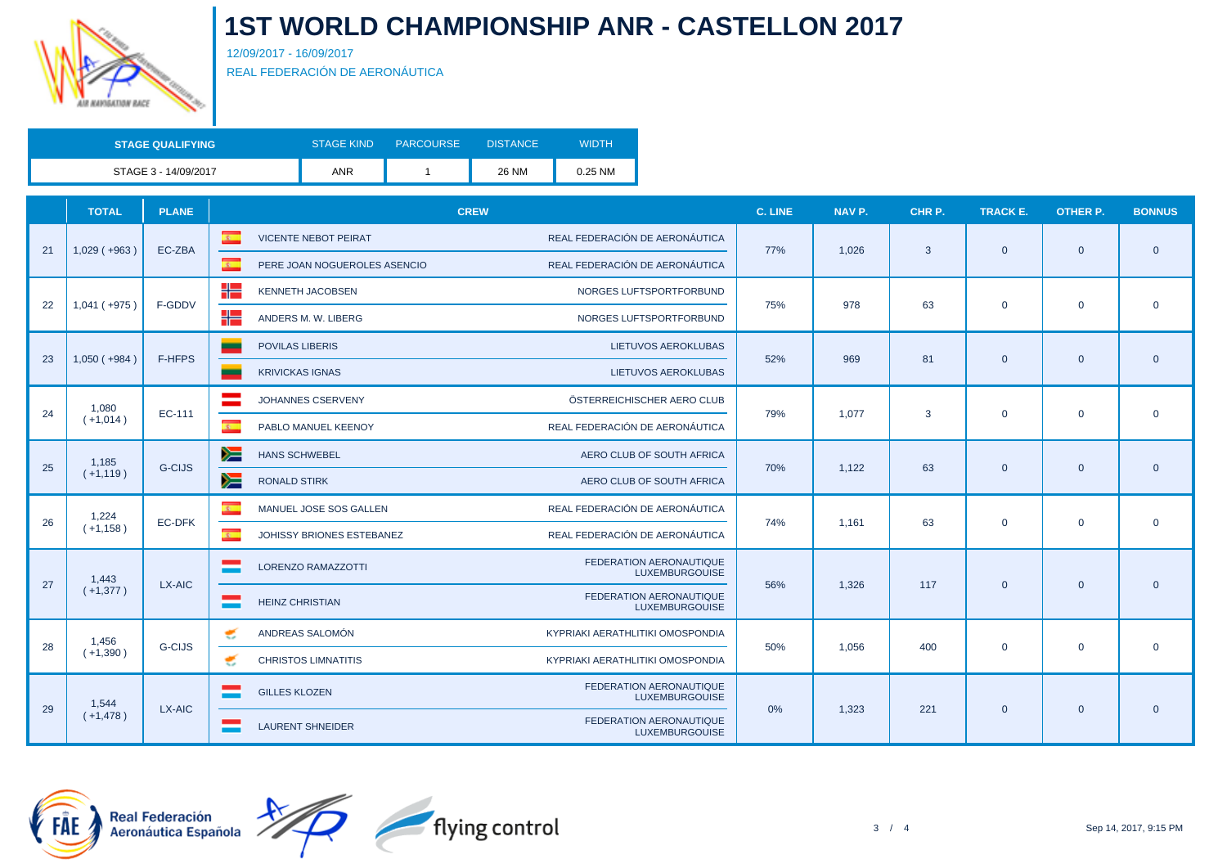

12/09/2017 - 16/09/2017 REAL FEDERACIÓN DE AERONÁUTICA

| <b>STAGE QUALIFYING</b> | <b>STAGE KIND</b> | <b>PARCOURSE</b> | <b>DISTANCE</b> | WIDTH   |
|-------------------------|-------------------|------------------|-----------------|---------|
| STAGE 3 - 14/09/2017    | <b>ANR</b>        |                  | 26 NM           | 0.25 NM |

|    | <b>TOTAL</b>       | <b>PLANE</b>  | <b>CREW</b>                                              |                                                         | <b>C. LINE</b> | NAV P. | CHR P. | <b>TRACK E.</b> | <b>OTHER P.</b>                                                                                                                                   | <b>BONNUS</b>  |
|----|--------------------|---------------|----------------------------------------------------------|---------------------------------------------------------|----------------|--------|--------|-----------------|---------------------------------------------------------------------------------------------------------------------------------------------------|----------------|
| 21 | $1,029$ ( $+963$ ) | EC-ZBA        | $\mathbf{R}$<br><b>VICENTE NEBOT PEIRAT</b>              | REAL FEDERACIÓN DE AERONÁUTICA                          | 77%            | 1,026  | 3      | $\mathbf{0}$    |                                                                                                                                                   | $\overline{0}$ |
|    |                    |               | $\overline{z}$<br>PERE JOAN NOGUEROLES ASENCIO           | REAL FEDERACIÓN DE AERONÁUTICA                          |                |        |        |                 | $\overline{0}$<br>$\mathbf 0$<br>$\overline{0}$<br>$\mathbf{0}$<br>$\mathbf 0$<br>$\mathbf 0$<br>$\overline{0}$<br>$\mathbf{0}$<br>$\overline{0}$ |                |
| 22 | $1,041 (+975)$     | F-GDDV        | ╬<br><b>KENNETH JACOBSEN</b>                             | NORGES LUFTSPORTFORBUND                                 | 75%            | 978    | 63     |                 |                                                                                                                                                   |                |
|    |                    |               | ╬<br>ANDERS M. W. LIBERG                                 | NORGES LUFTSPORTFORBUND                                 |                |        |        | $\mathbf 0$     |                                                                                                                                                   | $\mathbf 0$    |
|    |                    |               | <b>POVILAS LIBERIS</b>                                   | <b>LIETUVOS AEROKLUBAS</b>                              |                |        |        |                 |                                                                                                                                                   |                |
| 23 | $1,050(+984)$      | <b>F-HFPS</b> | <b>KRIVICKAS IGNAS</b>                                   | LIETUVOS AEROKLUBAS                                     | 52%            | 969    | 81     | $\mathbf{0}$    |                                                                                                                                                   |                |
|    | 1,080              |               | JOHANNES CSERVENY                                        | ÖSTERREICHISCHER AERO CLUB                              | 79%            |        | 3      | $\mathbf{0}$    | $\overline{0}$<br>$\mathbf 0$<br>$\mathbf 0$<br>$\overline{0}$                                                                                    |                |
| 24 | $(+1,014)$         | EC-111        | $\overline{B}$<br>PABLO MANUEL KEENOY                    | REAL FEDERACIÓN DE AERONÁUTICA                          |                | 1.077  |        |                 |                                                                                                                                                   |                |
|    | 1,185              | <b>G-CIJS</b> | y≡<br><b>HANS SCHWEBEL</b>                               | AERO CLUB OF SOUTH AFRICA                               | 70%            | 1,122  | 63     | $\mathbf{0}$    |                                                                                                                                                   | $\overline{0}$ |
| 25 | $(+1, 119)$        |               | y≡<br><b>RONALD STIRK</b>                                | AERO CLUB OF SOUTH AFRICA                               |                |        |        |                 |                                                                                                                                                   |                |
|    | 1,224              |               | $\overline{\mathbf{c}}$<br>MANUEL JOSE SOS GALLEN        | REAL FEDERACIÓN DE AERONÁUTICA                          |                |        |        |                 |                                                                                                                                                   |                |
| 26 | $(+1, 158)$        | EC-DFK        | $\mathcal{R}^{\mathcal{L}}$<br>JOHISSY BRIONES ESTEBANEZ | REAL FEDERACIÓN DE AERONÁUTICA                          | 74%            | 1,161  | 63     | $\mathbf 0$     |                                                                                                                                                   |                |
| 27 | 1,443              | LX-AIC        | <b>LORENZO RAMAZZOTTI</b>                                | FEDERATION AERONAUTIQUE<br><b>LUXEMBURGOUISE</b>        | 56%            | 1.326  | 117    | $\mathbf{0}$    |                                                                                                                                                   |                |
|    | $(+1,377)$         |               | <b>HEINZ CHRISTIAN</b>                                   | FEDERATION AERONAUTIQUE<br><b>LUXEMBURGOUISE</b>        |                |        |        |                 |                                                                                                                                                   |                |
| 28 | 1,456              | <b>G-CIJS</b> | ANDREAS SALOMÓN<br>€                                     | KYPRIAKI AERATHLITIKI OMOSPONDIA                        | 50%            |        |        |                 |                                                                                                                                                   |                |
|    | $(+1,390)$         |               | z<br><b>CHRISTOS LIMNATITIS</b>                          | KYPRIAKI AERATHLITIKI OMOSPONDIA                        |                | 1.056  | 400    | $\mathbf{0}$    |                                                                                                                                                   | $\overline{0}$ |
| 29 | 1,544              | LX-AIC        | <b>GILLES KLOZEN</b>                                     | <b>FEDERATION AERONAUTIQUE</b><br><b>LUXEMBURGOUISE</b> | 0%             | 1,323  |        |                 |                                                                                                                                                   |                |
|    | $(+1,478)$         |               | <b>LAURENT SHNEIDER</b>                                  | FEDERATION AERONAUTIQUE<br><b>LUXEMBURGOUISE</b>        |                |        | 221    | $\mathbf{0}$    |                                                                                                                                                   | $\overline{0}$ |